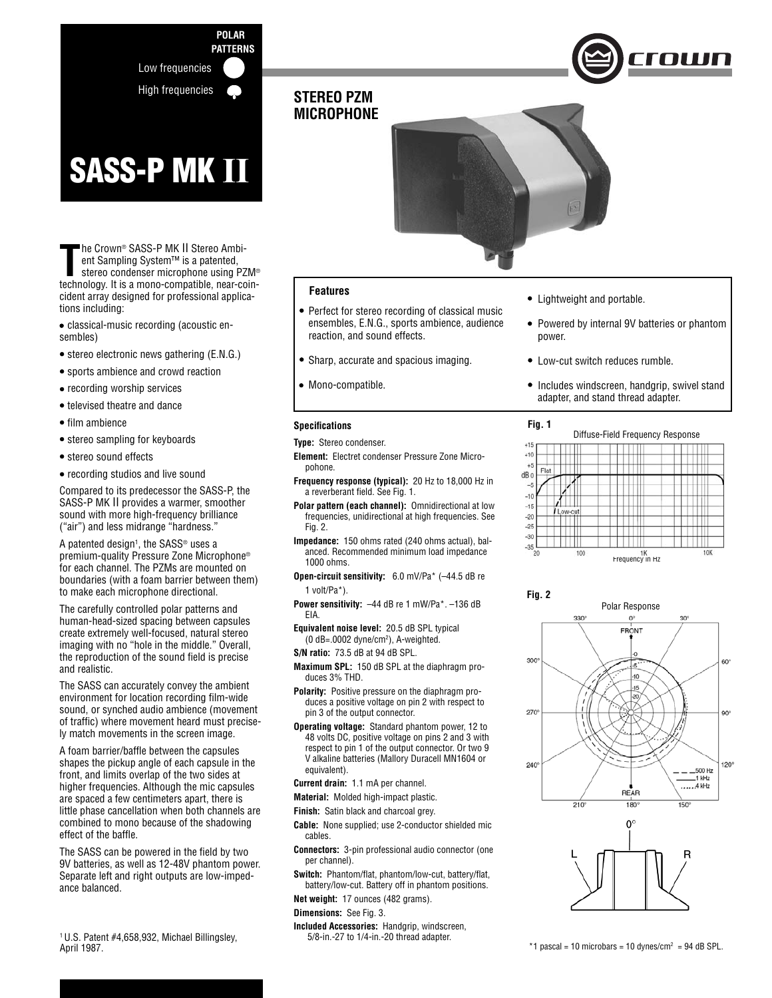

 **POLAR**

# **SASS-P MK II**

The Crown® SASS-P MK II Stereo Ambi-<br>ent Sampling System™ is a patented,<br>stereo condenser microphone using PZM®<br>technology. It is a mono-compatible, near-coinhe Crown® SASS-P MK II Stereo Ambi ent Sampling System™ is a patented, stereo condenser microphone using PZM® cident array designed for professional applications including:

- classical-music recording (acoustic ensembles)
- stereo electronic news gathering (E.N.G.)
- sports ambience and crowd reaction
- recording worship services
- televised theatre and dance
- $\bullet$  film ambience
- stereo sampling for keyboards
- stereo sound effects
- recording studios and live sound

Compared to its predecessor the SASS-P, the SASS-P MK II provides a warmer, smoother sound with more high-frequency brilliance ("air") and less midrange "hardness."

A patented design<sup>1</sup>, the SASS® uses a premium-quality Pressure Zone Microphone® for each channel. The PZMs are mounted on boundaries (with a foam barrier between them) to make each microphone directional.

The carefully controlled polar patterns and human-head-sized spacing between capsules create extremely well-focused, natural stereo imaging with no "hole in the middle." Overall, the reproduction of the sound field is precise and realistic.

The SASS can accurately convey the ambient environment for location recording film-wide sound, or synched audio ambience (movement of traffic) where movement heard must precisely match movements in the screen image.

A foam barrier/baffle between the capsules shapes the pickup angle of each capsule in the front, and limits overlap of the two sides at higher frequencies. Although the mic capsules are spaced a few centimeters apart, there is little phase cancellation when both channels are combined to mono because of the shadowing effect of the baffle.

The SASS can be powered in the field by two 9V batteries, as well as 12-48V phantom power. Separate left and right outputs are low-impedance balanced.

# **STEREO PZM MICROPHONE**



## **Features**

- Perfect for stereo recording of classical music ensembles, E.N.G., sports ambience, audience reaction, and sound effects.
- Sharp, accurate and spacious imaging.
- Mono-compatible.

#### **Specifi cations**

**Type:** Stereo condenser.

- **Element:** Electret condenser Pressure Zone Micropohone.
- **Frequency response (typical):** 20 Hz to 18,000 Hz in a reverberant field. See Fig. 1.
- **Polar pattern (each channel):** Omnidirectional at low frequencies, unidirectional at high frequencies. See Fig. 2.
- **Impedance:** 150 ohms rated (240 ohms actual), balanced. Recommended minimum load impedance 1000 ohms.
- **Open-circuit sensitivity:** 6.0 mV/Pa\* (–44.5 dB re 1 volt/Pa\*).
- **Power sensitivity:** –44 dB re 1 mW/Pa\*. –136 dB EIA.
- **Equivalent noise level:** 20.5 dB SPL typical (0 dB=.0002 dyne/cm2 ), A-weighted.
- **S/N ratio:** 73.5 dB at 94 dB SPL.
- **Maximum SPL:** 150 dB SPL at the diaphragm produces 3% THD.
- **Polarity:** Positive pressure on the diaphragm produces a positive voltage on pin 2 with respect to pin 3 of the output connector.
- **Operating voltage:** Standard phantom power, 12 to 48 volts DC, positive voltage on pins 2 and 3 with respect to pin 1 of the output connector. Or two 9 V alkaline batteries (Mallory Duracell MN1604 or equivalent).
- **Current drain:** 1.1 mA per channel.
- **Material:** Molded high-impact plastic.
- **Finish:** Satin black and charcoal grey.
- **Cable:** None supplied; use 2-conductor shielded mic cables.
- **Connectors:** 3-pin professional audio connector (one per channel).
- Switch: Phantom/flat, phantom/low-cut, battery/flat, battery/low-cut. Battery off in phantom positions.

**Net weight:** 17 ounces (482 grams).

#### **Dimensions:** See Fig. 3.

**Included Accessories:** Handgrip, windscreen, 5/8-in.-27 to 1/4-in.-20 thread adapter.

- Lightweight and portable.
- Powered by internal 9V batteries or phantom power.
- Low-cut switch reduces rumble.
- Includes windscreen, handgrip, swivel stand adapter, and stand thread adapter.